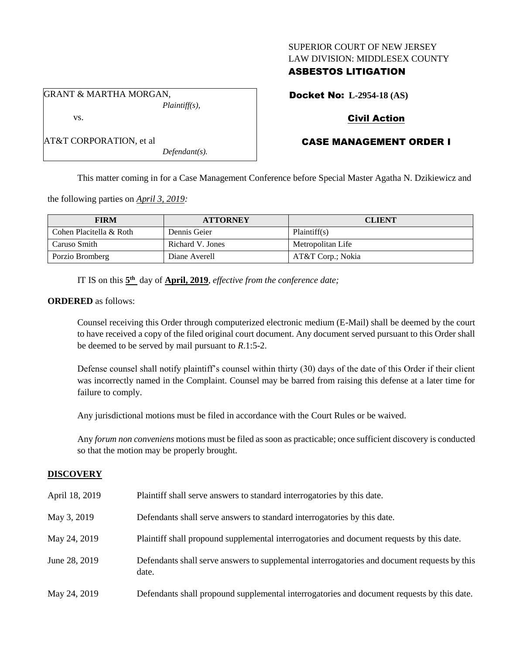## SUPERIOR COURT OF NEW JERSEY LAW DIVISION: MIDDLESEX COUNTY

## ASBESTOS LITIGATION

Docket No: **L-2954-18 (AS)**

# Civil Action

# CASE MANAGEMENT ORDER I

This matter coming in for a Case Management Conference before Special Master Agatha N. Dzikiewicz and

the following parties on *April 3, 2019:*

| <b>FIRM</b>             | <b>ATTORNEY</b>  | <b>CLIENT</b>     |
|-------------------------|------------------|-------------------|
| Cohen Placitella & Roth | Dennis Geier     | Plaintiff(s)      |
| Caruso Smith            | Richard V. Jones | Metropolitan Life |
| Porzio Bromberg         | Diane Averell    | AT&T Corp.; Nokia |

IT IS on this  $5<sup>th</sup>$  day of **April, 2019**, *effective from the conference date*;

*Defendant(s).*

## **ORDERED** as follows:

Counsel receiving this Order through computerized electronic medium (E-Mail) shall be deemed by the court to have received a copy of the filed original court document. Any document served pursuant to this Order shall be deemed to be served by mail pursuant to *R*.1:5-2.

Defense counsel shall notify plaintiff's counsel within thirty (30) days of the date of this Order if their client was incorrectly named in the Complaint. Counsel may be barred from raising this defense at a later time for failure to comply.

Any jurisdictional motions must be filed in accordance with the Court Rules or be waived.

Any *forum non conveniens* motions must be filed as soon as practicable; once sufficient discovery is conducted so that the motion may be properly brought.

## **DISCOVERY**

| April 18, 2019 | Plaintiff shall serve answers to standard interrogatories by this date.                               |
|----------------|-------------------------------------------------------------------------------------------------------|
| May 3, 2019    | Defendants shall serve answers to standard interrogatories by this date.                              |
| May 24, 2019   | Plaintiff shall propound supplemental interrogatories and document requests by this date.             |
| June 28, 2019  | Defendants shall serve answers to supplemental interrogatories and document requests by this<br>date. |
| May 24, 2019   | Defendants shall propound supplemental interrogatories and document requests by this date.            |

GRANT & MARTHA MORGAN, *Plaintiff(s),* vs.

AT&T CORPORATION, et al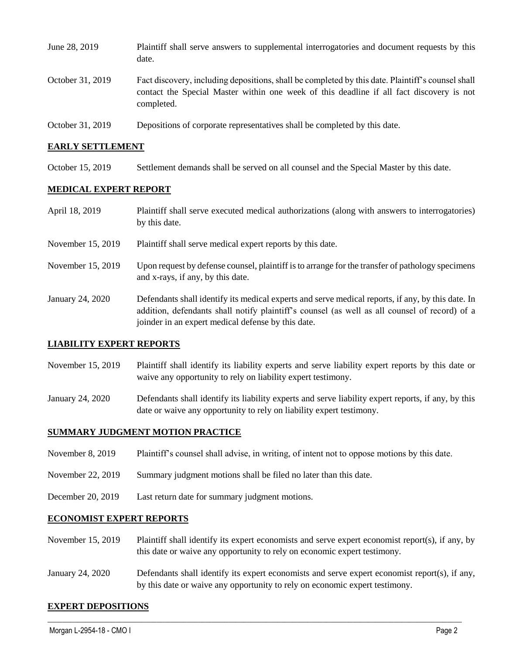| June 28, 2019    | Plaintiff shall serve answers to supplemental interrogatories and document requests by this<br>date.                                                                                                        |
|------------------|-------------------------------------------------------------------------------------------------------------------------------------------------------------------------------------------------------------|
| October 31, 2019 | Fact discovery, including depositions, shall be completed by this date. Plaintiff's counsel shall<br>contact the Special Master within one week of this deadline if all fact discovery is not<br>completed. |
| October 31, 2019 | Depositions of corporate representatives shall be completed by this date.                                                                                                                                   |

## **EARLY SETTLEMENT**

October 15, 2019 Settlement demands shall be served on all counsel and the Special Master by this date.

#### **MEDICAL EXPERT REPORT**

| April 18, 2019    | Plaintiff shall serve executed medical authorizations (along with answers to interrogatories)<br>by this date.                                                                                                                                           |
|-------------------|----------------------------------------------------------------------------------------------------------------------------------------------------------------------------------------------------------------------------------------------------------|
| November 15, 2019 | Plaintiff shall serve medical expert reports by this date.                                                                                                                                                                                               |
| November 15, 2019 | Upon request by defense counsel, plaintiff is to arrange for the transfer of pathology specimens<br>and x-rays, if any, by this date.                                                                                                                    |
| January 24, 2020  | Defendants shall identify its medical experts and serve medical reports, if any, by this date. In<br>addition, defendants shall notify plaintiff's counsel (as well as all counsel of record) of a<br>joinder in an expert medical defense by this date. |

## **LIABILITY EXPERT REPORTS**

- November 15, 2019 Plaintiff shall identify its liability experts and serve liability expert reports by this date or waive any opportunity to rely on liability expert testimony.
- January 24, 2020 Defendants shall identify its liability experts and serve liability expert reports, if any, by this date or waive any opportunity to rely on liability expert testimony.

## **SUMMARY JUDGMENT MOTION PRACTICE**

- November 8, 2019 Plaintiff's counsel shall advise, in writing, of intent not to oppose motions by this date.
- November 22, 2019 Summary judgment motions shall be filed no later than this date.
- December 20, 2019 Last return date for summary judgment motions.

## **ECONOMIST EXPERT REPORTS**

- November 15, 2019 Plaintiff shall identify its expert economists and serve expert economist report(s), if any, by this date or waive any opportunity to rely on economic expert testimony.
- January 24, 2020 Defendants shall identify its expert economists and serve expert economist report(s), if any, by this date or waive any opportunity to rely on economic expert testimony.

 $\_$  ,  $\_$  ,  $\_$  ,  $\_$  ,  $\_$  ,  $\_$  ,  $\_$  ,  $\_$  ,  $\_$  ,  $\_$  ,  $\_$  ,  $\_$  ,  $\_$  ,  $\_$  ,  $\_$  ,  $\_$  ,  $\_$  ,  $\_$  ,  $\_$  ,  $\_$  ,  $\_$  ,  $\_$  ,  $\_$  ,  $\_$  ,  $\_$  ,  $\_$  ,  $\_$  ,  $\_$  ,  $\_$  ,  $\_$  ,  $\_$  ,  $\_$  ,  $\_$  ,  $\_$  ,  $\_$  ,  $\_$  ,  $\_$  ,

#### **EXPERT DEPOSITIONS**